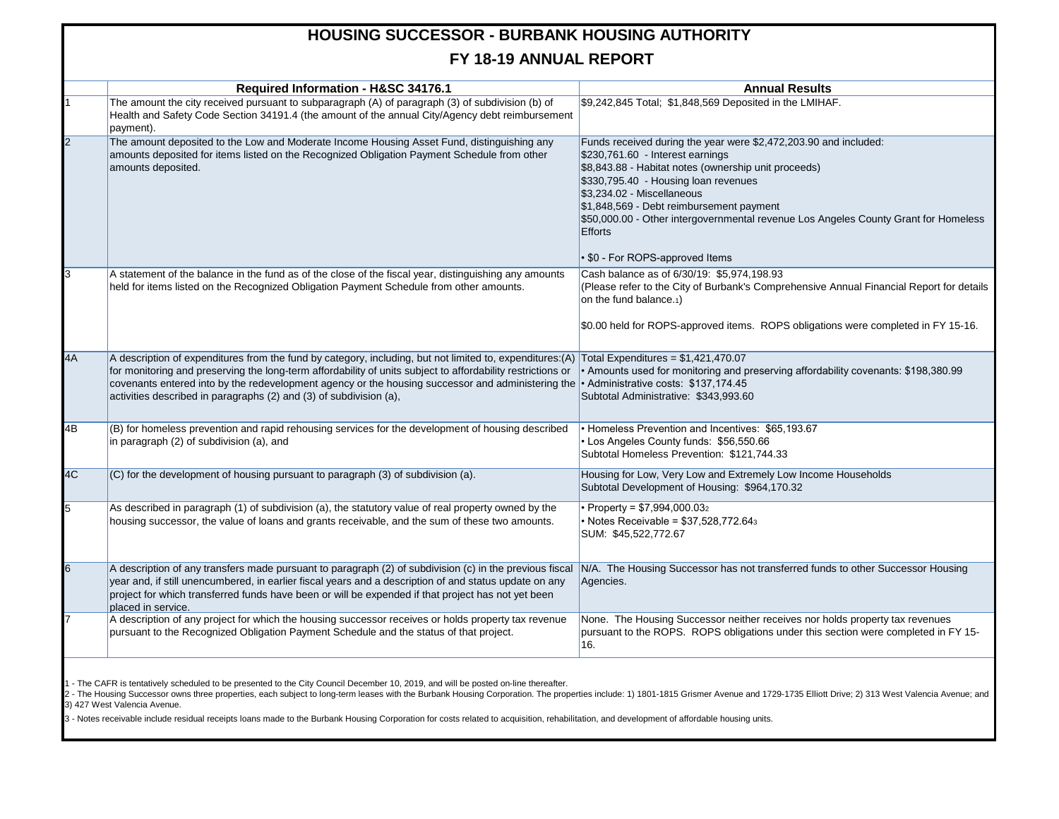## **HOUSING SUCCESSOR - BURBANK HOUSING AUTHORITY FY 18-19 ANNUAL REPORT**

|                | Required Information - H&SC 34176.1                                                                                                                                                                                                                                                                                                                                                                                                     | <b>Annual Results</b>                                                                                                                                                                                                                                                                                                                                                                                                       |  |
|----------------|-----------------------------------------------------------------------------------------------------------------------------------------------------------------------------------------------------------------------------------------------------------------------------------------------------------------------------------------------------------------------------------------------------------------------------------------|-----------------------------------------------------------------------------------------------------------------------------------------------------------------------------------------------------------------------------------------------------------------------------------------------------------------------------------------------------------------------------------------------------------------------------|--|
|                | The amount the city received pursuant to subparagraph (A) of paragraph (3) of subdivision (b) of<br>Health and Safety Code Section 34191.4 (the amount of the annual City/Agency debt reimbursement<br>payment).                                                                                                                                                                                                                        | \$9,242,845 Total; \$1,848,569 Deposited in the LMIHAF.                                                                                                                                                                                                                                                                                                                                                                     |  |
| $\overline{a}$ | The amount deposited to the Low and Moderate Income Housing Asset Fund, distinguishing any<br>amounts deposited for items listed on the Recognized Obligation Payment Schedule from other<br>amounts deposited.                                                                                                                                                                                                                         | Funds received during the year were \$2,472,203.90 and included:<br>\$230,761.60 - Interest earnings<br>\$8,843.88 - Habitat notes (ownership unit proceeds)<br>\$330,795.40 - Housing loan revenues<br>$$3,234.02$ - Miscellaneous<br>\$1,848,569 - Debt reimbursement payment<br>\$50,000.00 - Other intergovernmental revenue Los Angeles County Grant for Homeless<br><b>Efforts</b><br>• \$0 - For ROPS-approved Items |  |
| 3              | A statement of the balance in the fund as of the close of the fiscal year, distinguishing any amounts<br>held for items listed on the Recognized Obligation Payment Schedule from other amounts.                                                                                                                                                                                                                                        | Cash balance as of 6/30/19: \$5,974,198.93<br>(Please refer to the City of Burbank's Comprehensive Annual Financial Report for details<br>on the fund balance.1)<br>\$0.00 held for ROPS-approved items. ROPS obligations were completed in FY 15-16.                                                                                                                                                                       |  |
| 4A             | A description of expenditures from the fund by category, including, but not limited to, expenditures: (A) Total Expenditures = \$1,421,470.07<br>for monitoring and preserving the long-term affordability of units subject to affordability restrictions or<br>covenants entered into by the redevelopment agency or the housing successor and administering the<br>activities described in paragraphs (2) and (3) of subdivision (a), | • Amounts used for monitoring and preserving affordability covenants: \$198,380.99<br>• Administrative costs: \$137,174.45<br>Subtotal Administrative: \$343,993.60                                                                                                                                                                                                                                                         |  |
| 4B             | (B) for homeless prevention and rapid rehousing services for the development of housing described<br>in paragraph (2) of subdivision (a), and                                                                                                                                                                                                                                                                                           | • Homeless Prevention and Incentives: \$65,193.67<br>• Los Angeles County funds: \$56,550.66<br>Subtotal Homeless Prevention: \$121,744.33                                                                                                                                                                                                                                                                                  |  |
| 4C             | (C) for the development of housing pursuant to paragraph (3) of subdivision (a).                                                                                                                                                                                                                                                                                                                                                        | Housing for Low, Very Low and Extremely Low Income Households<br>Subtotal Development of Housing: \$964,170.32                                                                                                                                                                                                                                                                                                              |  |
| 5              | As described in paragraph (1) of subdivision (a), the statutory value of real property owned by the<br>housing successor, the value of loans and grants receivable, and the sum of these two amounts.                                                                                                                                                                                                                                   | • Property = $$7,994,000.032$<br>• Notes Receivable = \$37,528,772.643<br>SUM: \$45,522,772.67                                                                                                                                                                                                                                                                                                                              |  |
| 6              | A description of any transfers made pursuant to paragraph (2) of subdivision (c) in the previous fiscal<br>year and, if still unencumbered, in earlier fiscal years and a description of and status update on any<br>project for which transferred funds have been or will be expended if that project has not yet been<br>placed in service.                                                                                           | N/A. The Housing Successor has not transferred funds to other Successor Housing<br>Agencies.                                                                                                                                                                                                                                                                                                                                |  |
|                | A description of any project for which the housing successor receives or holds property tax revenue<br>pursuant to the Recognized Obligation Payment Schedule and the status of that project.                                                                                                                                                                                                                                           | None. The Housing Successor neither receives nor holds property tax revenues<br>pursuant to the ROPS. ROPS obligations under this section were completed in FY 15-<br>16.                                                                                                                                                                                                                                                   |  |

1 - The CAFR is tentatively scheduled to be presented to the City Council December 10, 2019, and will be posted on-line thereafter.

2 - The Housing Successor owns three properties, each subject to long-term leases with the Burbank Housing Corporation. The properties include: 1) 1801-1815 Grismer Avenue and 1729-1735 Elliott Drive; 2) 313 West Valencia 3) 427 West Valencia Avenue.

3 - Notes receivable include residual receipts loans made to the Burbank Housing Corporation for costs related to acquisition, rehabilitation, and development of affordable housing units.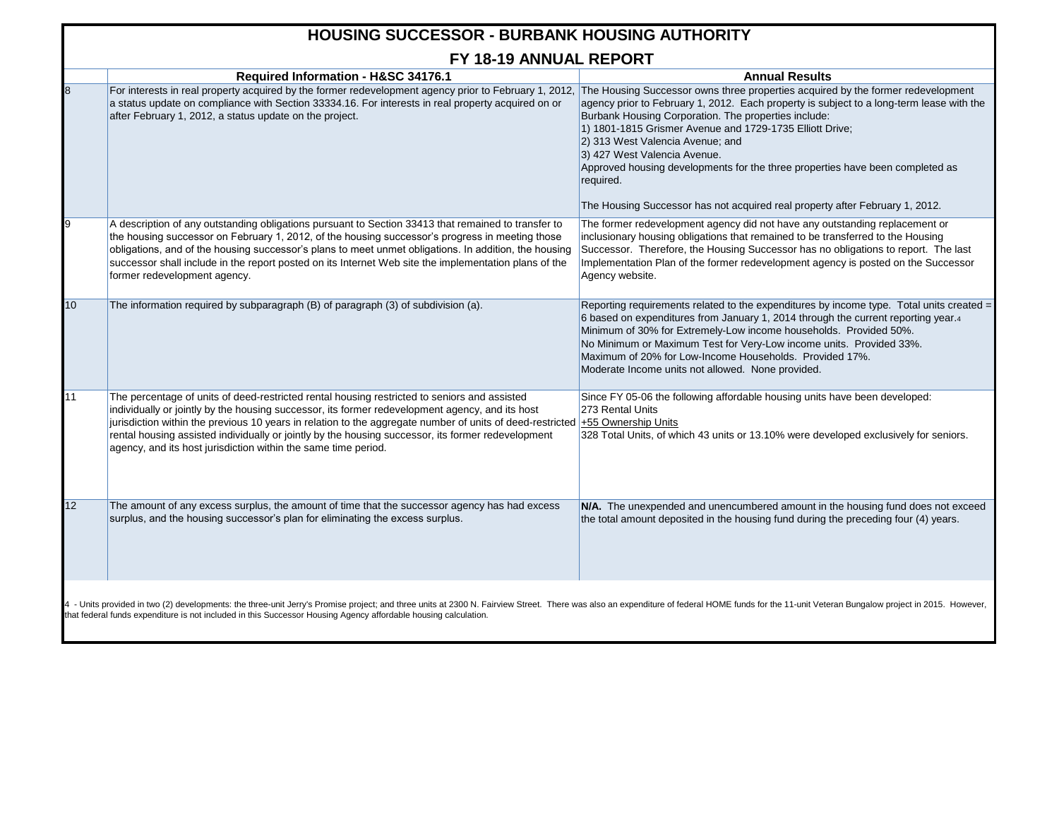## **Required Information - H&SC 34176.1 Annual Results** 8 For interests in real property acquired by the former redevelopment agency prior to February 1, 2012, The Housing Successor owns three properties acquired by the former redevelopment a status update on compliance with Section 33334.16. For interests in real property acquired on or after February 1, 2012, a status update on the project. agency prior to February 1, 2012. Each property is subject to a long-term lease with the Burbank Housing Corporation. The properties include: 1) 1801-1815 Grismer Avenue and 1729-1735 Elliott Drive; 2) 313 West Valencia Avenue; and 3) 427 West Valencia Avenue. Approved housing developments for the three properties have been completed as required. The Housing Successor has not acquired real property after February 1, 2012. 9 A description of any outstanding obligations pursuant to Section 33413 that remained to transfer to the housing successor on February 1, 2012, of the housing successor's progress in meeting those obligations, and of the housing successor's plans to meet unmet obligations. In addition, the housing successor shall include in the report posted on its Internet Web site the implementation plans of the former redevelopment agency. The former redevelopment agency did not have any outstanding replacement or inclusionary housing obligations that remained to be transferred to the Housing Successor. Therefore, the Housing Successor has no obligations to report. The last Implementation Plan of the former redevelopment agency is posted on the Successor Agency website. 10 The information required by subparagraph (B) of paragraph (3) of subdivision (a). Reporting requirements related to the expenditures by income type. Total units created = 6 based on expenditures from January 1, 2014 through the current reporting year.<sup>4</sup> Minimum of 30% for Extremely-Low income households. Provided 50%. No Minimum or Maximum Test for Very-Low income units. Provided 33%. Maximum of 20% for Low-Income Households. Provided 17%. Moderate Income units not allowed. None provided. 11 The percentage of units of deed-restricted rental housing restricted to seniors and assisted individually or jointly by the housing successor, its former redevelopment agency, and its host jurisdiction within the previous 10 years in relation to the aggregate number of units of deed-restricted +55 Ownership Units rental housing assisted individually or jointly by the housing successor, its former redevelopment agency, and its host jurisdiction within the same time period. Since FY 05-06 the following affordable housing units have been developed: 273 Rental Units 328 Total Units, of which 43 units or 13.10% were developed exclusively for seniors. 12 The amount of any excess surplus, the amount of time that the successor agency has had excess surplus, and the housing successor's plan for eliminating the excess surplus. **N/A.** The unexpended and unencumbered amount in the housing fund does not exceed the total amount deposited in the housing fund during the preceding four (4) years. **HOUSING SUCCESSOR - BURBANK HOUSING AUTHORITY FY 18-19 ANNUAL REPORT** 4 - Units provided in two (2) developments: the three-unit Jerry's Promise project; and three units at 2300 N. Fairview Street. There was also an expenditure of federal HOME funds for the 11-unit Veteran Bungalow project i

that federal funds expenditure is not included in this Successor Housing Agency affordable housing calculation.